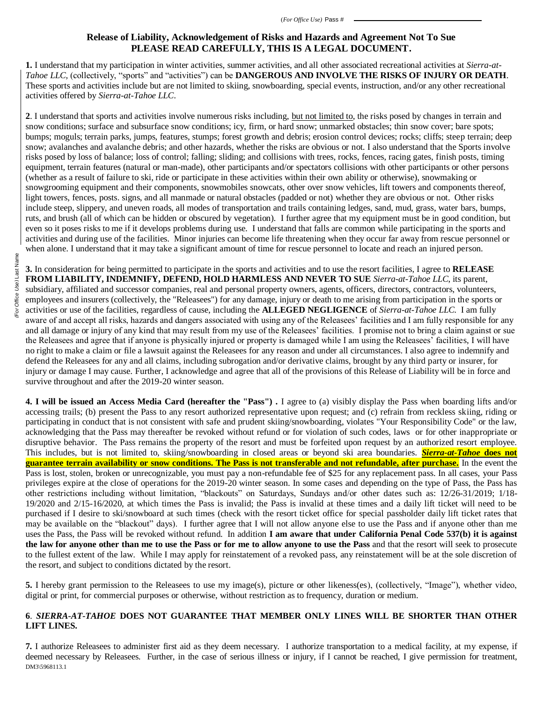## **Release of Liability, Acknowledgement of Risks and Hazards and Agreement Not To Sue PLEASE READ CAREFULLY, THIS IS A LEGAL DOCUMENT.**

**1.** I understand that my participation in winter activities, summer activities, and all other associated recreational activities at *Sierra-at-Tahoe LLC,* (collectively, "sports" and "activities") can be **DANGEROUS AND INVOLVE THE RISKS OF INJURY OR DEATH**. These sports and activities include but are not limited to skiing, snowboarding, special events, instruction, and/or any other recreational activities offered by *Sierra-at-Tahoe LLC*.

**2**. I understand that sports and activities involve numerous risks including, but not limited to, the risks posed by changes in terrain and snow conditions; surface and subsurface snow conditions; icy, firm, or hard snow; unmarked obstacles; thin snow cover; bare spots; bumps; moguls; terrain parks, jumps, features, stumps; forest growth and debris; erosion control devices; rocks; cliffs; steep terrain; deep snow; avalanches and avalanche debris; and other hazards, whether the risks are obvious or not. I also understand that the Sports involve risks posed by loss of balance; loss of control; falling; sliding; and collisions with trees, rocks, fences, racing gates, finish posts, timing equipment, terrain features (natural or man-made), other participants and/or spectators collisions with other participants or other persons (whether as a result of failure to ski, ride or participate in these activities within their own ability or otherwise), snowmaking or snowgrooming equipment and their components, snowmobiles snowcats, other over snow vehicles, lift towers and components thereof, light towers, fences, posts. signs, and all manmade or natural obstacles (padded or not) whether they are obvious or not. Other risks include steep, slippery, and uneven roads, all modes of transportation and trails containing ledges, sand, mud, grass, water bars, bumps, ruts, and brush (all of which can be hidden or obscured by vegetation). I further agree that my equipment must be in good condition, but even so it poses risks to me if it develops problems during use. I understand that falls are common while participating in the sports and activities and during use of the facilities. Minor injuries can become life threatening when they occur far away from rescue personnel or when alone. I understand that it may take a significant amount of time for rescue personnel to locate and reach an injured person.

**3.** In consideration for being permitted to participate in the sports and activities and to use the resort facilities, I agree to **RELEASE FROM LIABILITY, INDEMNIFY, DEFEND, HOLD HARMLESS AND NEVER TO SUE** *Sierra-at-Tahoe LLC*, its parent, subsidiary, affiliated and successor companies, real and personal property owners, agents, officers, directors, contractors, volunteers, employees and insurers (collectively, the "Releasees") for any damage, injury or death to me arising from participation in the sports or activities or use of the facilities, regardless of cause, including the **ALLEGED NEGLIGENCE** of *Sierra-at-Tahoe LLC.* I am fully aware of and accept all risks, hazards and dangers associated with using any of the Releasees' facilities and I am fully responsible for any and all damage or injury of any kind that may result from my use of the Releasees' facilities. I promise not to bring a claim against or sue the Releasees and agree that if anyone is physically injured or property is damaged while I am using the Releasees' facilities, I will have no right to make a claim or file a lawsuit against the Releasees for any reason and under all circumstances. I also agree to indemnify and defend the Releasees for any and all claims, including subrogation and/or derivative claims, brought by any third party or insurer, for injury or damage I may cause. Further, I acknowledge and agree that all of the provisions of this Release of Liability will be in force and survive throughout and after the 2019-20 winter season.

**4. I will be issued an Access Media Card (hereafter the "Pass") .** I agree to (a) visibly display the Pass when boarding lifts and/or accessing trails; (b) present the Pass to any resort authorized representative upon request; and (c) refrain from reckless skiing, riding or participating in conduct that is not consistent with safe and prudent skiing/snowboarding, violates "Your Responsibility Code" or the law, acknowledging that the Pass may thereafter be revoked without refund or for violation of such codes, laws or for other inappropriate or disruptive behavior. The Pass remains the property of the resort and must be forfeited upon request by an authorized resort employee. This includes, but is not limited to, skiing/snowboarding in closed areas or beyond ski area boundaries. *Sierra-at-Tahoe* **does not guarantee terrain availability or snow conditions. The Pass is not transferable and not refundable, after purchase.** In the event the Pass is lost, stolen, broken or unrecognizable, you must pay a non-refundable fee of \$25 for any replacement pass. In all cases, your Pass privileges expire at the close of operations for the 2019-20 winter season. In some cases and depending on the type of Pass, the Pass has other restrictions including without limitation, "blackouts" on Saturdays, Sundays and/or other dates such as: 12/26-31/2019; 1/18- 19/2020 and 2/15-16/2020, at which times the Pass is invalid; the Pass is invalid at these times and a daily lift ticket will need to be purchased if I desire to ski/snowboard at such times (check with the resort ticket office for special passholder daily lift ticket rates that may be available on the "blackout" days). I further agree that I will not allow anyone else to use the Pass and if anyone other than me uses the Pass, the Pass will be revoked without refund. In addition **I am aware that under California Penal Code 537(b) it is against the law for anyone other than me to use the Pass or for me to allow anyone to use the Pass** and that the resort will seek to prosecute to the fullest extent of the law. While I may apply for reinstatement of a revoked pass, any reinstatement will be at the sole discretion of the resort, and subject to conditions dictated by the resort.

**5.** I hereby grant permission to the Releasees to use my image(s), picture or other likeness(es), (collectively, "Image"), whether video, digital or print, for commercial purposes or otherwise, without restriction as to frequency, duration or medium.

## **6**. *SIERRA-AT-TAHOE* **DOES NOT GUARANTEE THAT MEMBER ONLY LINES WILL BE SHORTER THAN OTHER LIFT LINES.**

DM3\5968113.1 **7.** I authorize Releasees to administer first aid as they deem necessary. I authorize transportation to a medical facility, at my expense, if deemed necessary by Releasees. Further, in the case of serious illness or injury, if I cannot be reached, I give permission for treatment,